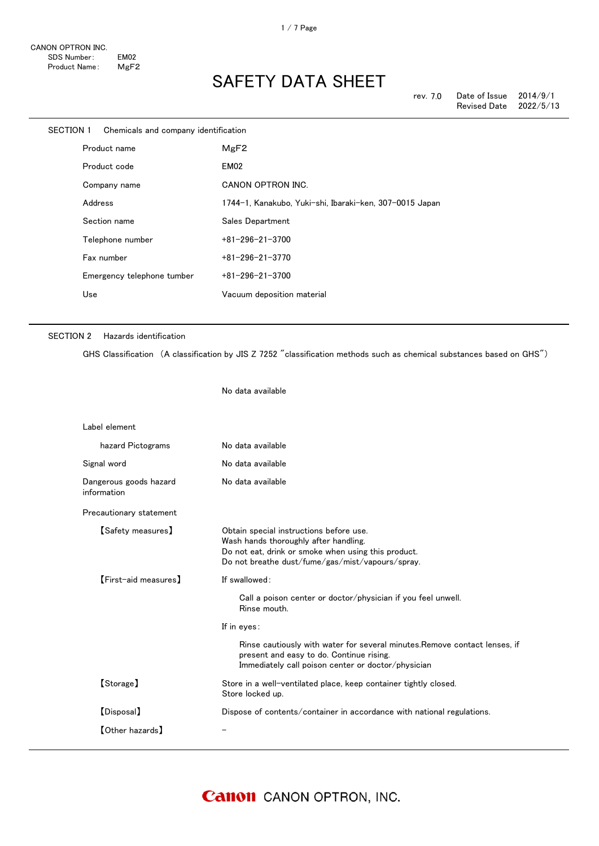| <b>SECTION 1</b> |                  | Chemicals and company identification |                                                         |
|------------------|------------------|--------------------------------------|---------------------------------------------------------|
|                  | Product name     |                                      | MgF2                                                    |
|                  | Product code     |                                      | EM02                                                    |
|                  | Company name     |                                      | CANON OPTRON INC.                                       |
|                  | Address          |                                      | 1744-1, Kanakubo, Yuki-shi, Ibaraki-ken, 307-0015 Japan |
|                  | Section name     |                                      | Sales Department                                        |
|                  | Telephone number |                                      | $+81 - 296 - 21 - 3700$                                 |
|                  | Fax number       |                                      | $+81 - 296 - 21 - 3770$                                 |
|                  |                  | Emergency telephone tumber           | $+81 - 296 - 21 - 3700$                                 |
|                  | Use              |                                      | Vacuum deposition material                              |
|                  |                  |                                      |                                                         |

#### SECTION 2 Hazards identification

GHS Classification (A classification by JIS Z 7252 "classification methods such as chemical substances based on GHS")

No data available

| Label element                         |                                                                                                                                                                                             |
|---------------------------------------|---------------------------------------------------------------------------------------------------------------------------------------------------------------------------------------------|
| hazard Pictograms                     | No data available                                                                                                                                                                           |
| Signal word                           | No data available                                                                                                                                                                           |
| Dangerous goods hazard<br>information | No data available                                                                                                                                                                           |
| Precautionary statement               |                                                                                                                                                                                             |
| <b>[Safety measures]</b>              | Obtain special instructions before use.<br>Wash hands thoroughly after handling.<br>Do not eat, drink or smoke when using this product.<br>Do not breathe dust/fume/gas/mist/vapours/spray. |
| [First-aid measures]                  | If swallowed:                                                                                                                                                                               |
|                                       | Call a poison center or doctor/physician if you feel unwell.<br>Rinse mouth.                                                                                                                |
|                                       | If in eyes:                                                                                                                                                                                 |
|                                       | Rinse cautiously with water for several minutes. Remove contact lenses, if<br>present and easy to do. Continue rising.<br>Immediately call poison center or doctor/physician                |
| [Storage]                             | Store in a well-ventilated place, keep container tightly closed.<br>Store locked up.                                                                                                        |
| [Disposal]                            | Dispose of contents/container in accordance with national regulations.                                                                                                                      |
| <b>[Other hazards]</b>                |                                                                                                                                                                                             |
|                                       |                                                                                                                                                                                             |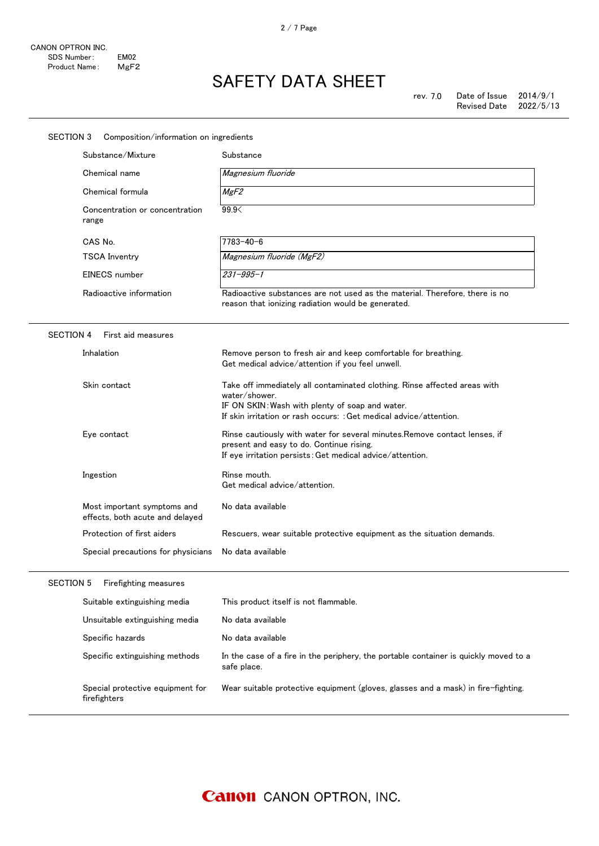| <b>SECTION 3</b><br>Composition/information on ingredients     |                                                                                                                                                                                                                     |  |  |  |
|----------------------------------------------------------------|---------------------------------------------------------------------------------------------------------------------------------------------------------------------------------------------------------------------|--|--|--|
| Substance/Mixture                                              | Substance                                                                                                                                                                                                           |  |  |  |
| Chemical name                                                  | Magnesium fluoride                                                                                                                                                                                                  |  |  |  |
| Chemical formula                                               | MgF2                                                                                                                                                                                                                |  |  |  |
| Concentration or concentration<br>range                        | 99.9                                                                                                                                                                                                                |  |  |  |
| CAS No.                                                        | $7783 - 40 - 6$                                                                                                                                                                                                     |  |  |  |
| <b>TSCA Inventry</b>                                           | Magnesium fluoride (MgF2)                                                                                                                                                                                           |  |  |  |
| EINECS number                                                  | $231 - 995 - 1$                                                                                                                                                                                                     |  |  |  |
| Radioactive information                                        | Radioactive substances are not used as the material. Therefore, there is no<br>reason that ionizing radiation would be generated.                                                                                   |  |  |  |
| <b>SECTION 4</b><br>First aid measures                         |                                                                                                                                                                                                                     |  |  |  |
| Inhalation                                                     | Remove person to fresh air and keep comfortable for breathing.<br>Get medical advice/attention if you feel unwell.                                                                                                  |  |  |  |
| Skin contact                                                   | Take off immediately all contaminated clothing. Rinse affected areas with<br>water/shower.<br>IF ON SKIN: Wash with plenty of soap and water.<br>If skin irritation or rash occurs: : Get medical advice/attention. |  |  |  |
| Eye contact                                                    | Rinse cautiously with water for several minutes. Remove contact lenses, if<br>present and easy to do. Continue rising.<br>If eye irritation persists: Get medical advice/attention.                                 |  |  |  |
| Ingestion                                                      | Rinse mouth.<br>Get medical advice/attention.                                                                                                                                                                       |  |  |  |
| Most important symptoms and<br>effects, both acute and delayed | No data available                                                                                                                                                                                                   |  |  |  |
| Protection of first aiders                                     | Rescuers, wear suitable protective equipment as the situation demands.                                                                                                                                              |  |  |  |
| Special precautions for physicians                             | No data available                                                                                                                                                                                                   |  |  |  |
| Firefighting measures<br><b>SECTION 5</b>                      |                                                                                                                                                                                                                     |  |  |  |
| Suitable extinguishing media                                   | This product itself is not flammable.                                                                                                                                                                               |  |  |  |
| Unsuitable extinguishing media                                 | No data available                                                                                                                                                                                                   |  |  |  |
| Specific hazards                                               | No data available                                                                                                                                                                                                   |  |  |  |
| Specific extinguishing methods                                 | In the case of a fire in the periphery, the portable container is quickly moved to a<br>safe place.                                                                                                                 |  |  |  |
| Special protective equipment for<br>firefighters               | Wear suitable protective equipment (gloves, glasses and a mask) in fire-fighting.                                                                                                                                   |  |  |  |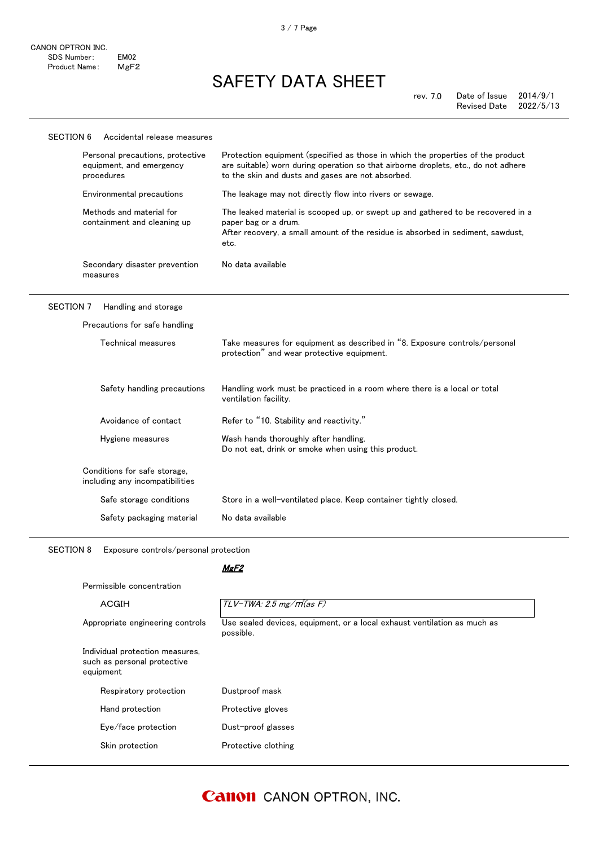3 / 7 Page

| <b>SECTION 6</b> | Accidental release measures                                                |                                                                                                                                                                                                                            |
|------------------|----------------------------------------------------------------------------|----------------------------------------------------------------------------------------------------------------------------------------------------------------------------------------------------------------------------|
|                  | Personal precautions, protective<br>equipment, and emergency<br>procedures | Protection equipment (specified as those in which the properties of the product<br>are suitable) worn during operation so that airborne droplets, etc., do not adhere<br>to the skin and dusts and gases are not absorbed. |
|                  | Environmental precautions                                                  | The leakage may not directly flow into rivers or sewage.                                                                                                                                                                   |
|                  | Methods and material for<br>containment and cleaning up                    | The leaked material is scooped up, or swept up and gathered to be recovered in a<br>paper bag or a drum.<br>After recovery, a small amount of the residue is absorbed in sediment, sawdust,<br>etc.                        |
|                  | Secondary disaster prevention<br>measures                                  | No data available                                                                                                                                                                                                          |
| <b>SECTION 7</b> | Handling and storage                                                       |                                                                                                                                                                                                                            |
|                  | Precautions for safe handling                                              |                                                                                                                                                                                                                            |
|                  | Technical measures                                                         | Take measures for equipment as described in "8. Exposure controls/personal<br>protection" and wear protective equipment.                                                                                                   |
|                  | Safety handling precautions                                                | Handling work must be practiced in a room where there is a local or total<br>ventilation facility.                                                                                                                         |
|                  | Avoidance of contact                                                       | Refer to "10. Stability and reactivity."                                                                                                                                                                                   |
|                  | Hygiene measures                                                           | Wash hands thoroughly after handling.<br>Do not eat, drink or smoke when using this product.                                                                                                                               |
|                  | Conditions for safe storage,<br>including any incompatibilities            |                                                                                                                                                                                                                            |
|                  | Safe storage conditions                                                    | Store in a well-ventilated place. Keep container tightly closed.                                                                                                                                                           |
|                  | Safety packaging material                                                  | No data available                                                                                                                                                                                                          |
|                  |                                                                            |                                                                                                                                                                                                                            |

SECTION 8 Exposure controls/personal protection

### MgF<sub>2</sub>

| <b>ACGIH</b>                                                                | $TLV$ -TWA: 2.5 mg/ $m$ (as F)                                                        |
|-----------------------------------------------------------------------------|---------------------------------------------------------------------------------------|
| Appropriate engineering controls                                            | Use sealed devices, equipment, or a local exhaust ventilation as much as<br>possible. |
| Individual protection measures,<br>such as personal protective<br>equipment |                                                                                       |
| Respiratory protection                                                      | Dustproof mask                                                                        |
| Hand protection                                                             | Protective gloves                                                                     |
| Eye/face protection                                                         | Dust-proof glasses                                                                    |
| Skin protection                                                             | Protective clothing                                                                   |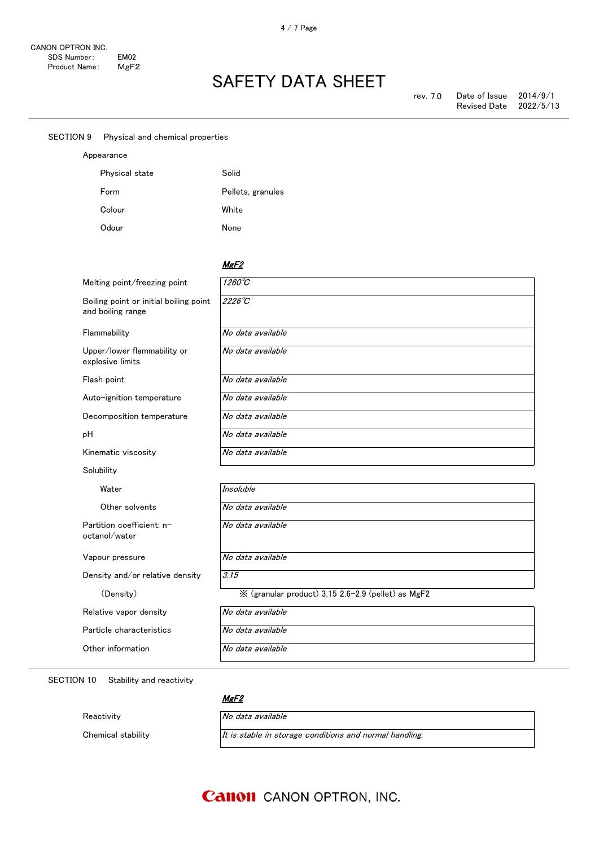SECTION 9 Physical and chemical properties

Physical state Solid

Form Pellets, granules

Appearance

### SAFETY DATA SHEET

| Colour                                                      | White                                              |
|-------------------------------------------------------------|----------------------------------------------------|
| Odour                                                       | None                                               |
|                                                             |                                                    |
|                                                             | MgF2                                               |
| Melting point/freezing point                                | $1260^{\circ}C$                                    |
| Boiling point or initial boiling point<br>and boiling range | $2226^{\circ}C$                                    |
| Flammability                                                | No data available                                  |
| Upper/lower flammability or<br>explosive limits             | No data available                                  |
| Flash point                                                 | No data available                                  |
| Auto-ignition temperature                                   | No data available                                  |
| Decomposition temperature                                   | No data available                                  |
| рH                                                          | No data available                                  |
| Kinematic viscosity                                         | No data available                                  |
| Solubility                                                  |                                                    |
| Water                                                       | Insoluble                                          |
| Other solvents                                              | No data available                                  |
| Partition coefficient: n-<br>octanol/water                  | No data available                                  |
| Vapour pressure                                             | No data available                                  |
| Density and/or relative density                             | 3.15                                               |
| (Density)                                                   | ※ (granular product) 3.15 2.6-2.9 (pellet) as MgF2 |
| Relative vapor density                                      | No data available                                  |
| Particle characteristics                                    | No data available                                  |
| Other information                                           | No data available                                  |

#### SECTION 10 Stability and reactivity

Reactivity **No data available** 

MgF<sub>2</sub>

Chemical stability  $It is stable in storage conditions and normal handling.$ 

### **Canon** CANON OPTRON, INC.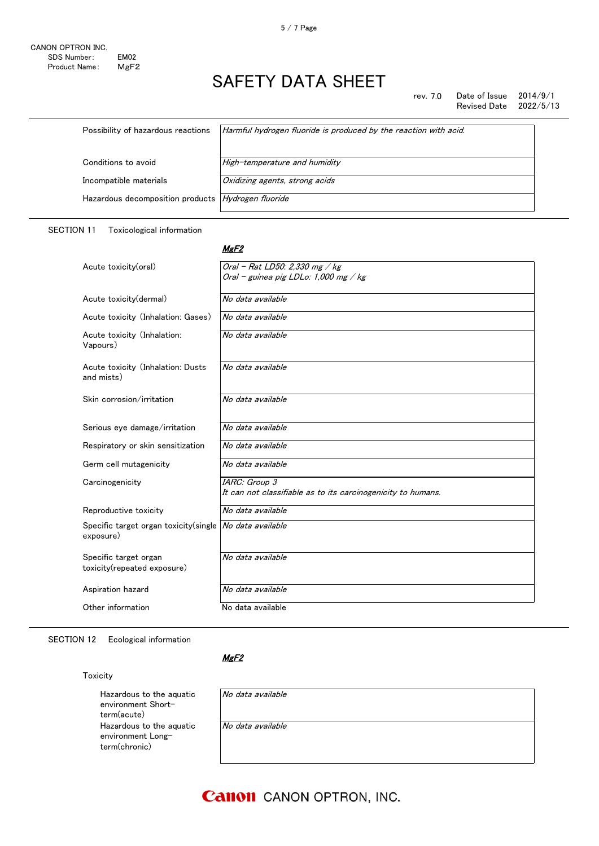rev. 7.0 Date of Issue 2014/9/1<br>Revised Date 2022/5/13 Revised Date

| Possibility of hazardous reactions                 | Harmful hydrogen fluoride is produced by the reaction with acid. |
|----------------------------------------------------|------------------------------------------------------------------|
| Conditions to avoid                                |                                                                  |
|                                                    | High-temperature and humidity                                    |
| Incompatible materials                             | Oxidizing agents, strong acids                                   |
| Hazardous decomposition products Hydrogen fluoride |                                                                  |

#### SECTION 11 Toxicological information

#### MgF<sub>2</sub>

| Acute toxicity(oral)                                                 | Oral - Rat LD50: 2,330 mg / $kg$<br>Oral - guinea pig LDLo: 1,000 mg / kg |
|----------------------------------------------------------------------|---------------------------------------------------------------------------|
|                                                                      |                                                                           |
| Acute toxicity(dermal)                                               | No data available                                                         |
| Acute toxicity (Inhalation: Gases)                                   | No data available                                                         |
| Acute toxicity (Inhalation:<br>Vapours)                              | No data available                                                         |
| Acute toxicity (Inhalation: Dusts<br>and mists)                      | No data available                                                         |
| Skin corrosion/irritation                                            | No data available                                                         |
| Serious eye damage/irritation                                        | No data available                                                         |
| Respiratory or skin sensitization                                    | No data available                                                         |
| Germ cell mutagenicity                                               | No data available                                                         |
| Carcinogenicity                                                      | IARC: Group 3                                                             |
|                                                                      | It can not classifiable as to its carcinogenicity to humans.              |
| Reproductive toxicity                                                | No data available                                                         |
| Specific target organ toxicity(single No data available<br>exposure) |                                                                           |
| Specific target organ<br>toxicity(repeated exposure)                 | No data available                                                         |
| Aspiration hazard                                                    | No data available                                                         |
| Other information                                                    | No data available                                                         |

SECTION 12 Ecological information

#### MgF<sub>2</sub>

#### Toxicity

Hazardous to the aquatic environment Shortterm(acute) Hazardous to the aquatic environment Longterm(chronic)

| No data available |  |  |  |
|-------------------|--|--|--|
| No data available |  |  |  |
|                   |  |  |  |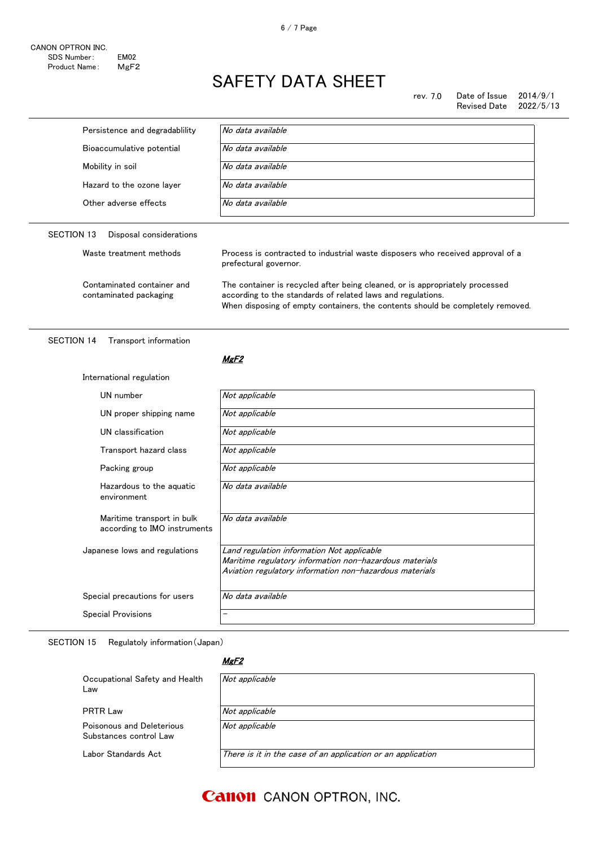rev. 7.0 Date of Issue  $2014/9/1$ Revised Date 2022/5/13

| Persistence and degradability                              | No data available                                                                                                                                                                                                             |  |
|------------------------------------------------------------|-------------------------------------------------------------------------------------------------------------------------------------------------------------------------------------------------------------------------------|--|
| Bioaccumulative potential                                  | No data available                                                                                                                                                                                                             |  |
| Mobility in soil                                           | No data available                                                                                                                                                                                                             |  |
| Hazard to the ozone layer                                  | No data available                                                                                                                                                                                                             |  |
| Other adverse effects                                      | No data available                                                                                                                                                                                                             |  |
| <b>SECTION 13</b><br>Disposal considerations               |                                                                                                                                                                                                                               |  |
| Waste treatment methods                                    | Process is contracted to industrial waste disposers who received approval of a<br>prefectural governor.                                                                                                                       |  |
| Contaminated container and<br>contaminated packaging       | The container is recycled after being cleaned, or is appropriately processed<br>according to the standards of related laws and regulations.<br>When disposing of empty containers, the contents should be completely removed. |  |
| <b>SECTION 14</b><br>Transport information                 |                                                                                                                                                                                                                               |  |
|                                                            | MgF <sub>2</sub>                                                                                                                                                                                                              |  |
| International regulation                                   |                                                                                                                                                                                                                               |  |
| UN number                                                  | Not applicable                                                                                                                                                                                                                |  |
| UN proper shipping name                                    | Not applicable                                                                                                                                                                                                                |  |
| UN classification                                          | Not applicable                                                                                                                                                                                                                |  |
| Transport hazard class                                     | Not applicable                                                                                                                                                                                                                |  |
| Packing group                                              | Not applicable                                                                                                                                                                                                                |  |
| Hazardous to the aquatic<br>environment                    | No data available                                                                                                                                                                                                             |  |
| Maritime transport in bulk<br>according to IMO instruments | No data available                                                                                                                                                                                                             |  |
| Japanese lows and regulations                              | Land regulation information Not applicable<br>Maritime regulatory information non-hazardous materials<br>Aviation regulatory information non-hazardous materials                                                              |  |
| Special precautions for users                              | No data available                                                                                                                                                                                                             |  |
| <b>Special Provisions</b>                                  |                                                                                                                                                                                                                               |  |

SECTION 15 Regulatoly information(Japan)

MgF<sub>2</sub>

| Occupational Safety and Health<br>Law               | Not applicable                                              |
|-----------------------------------------------------|-------------------------------------------------------------|
| PRTR Law                                            | Not applicable                                              |
| Poisonous and Deleterious<br>Substances control Law | Not applicable                                              |
| Labor Standards Act                                 | There is it in the case of an application or an application |

### **Canon** CANON OPTRON, INC.